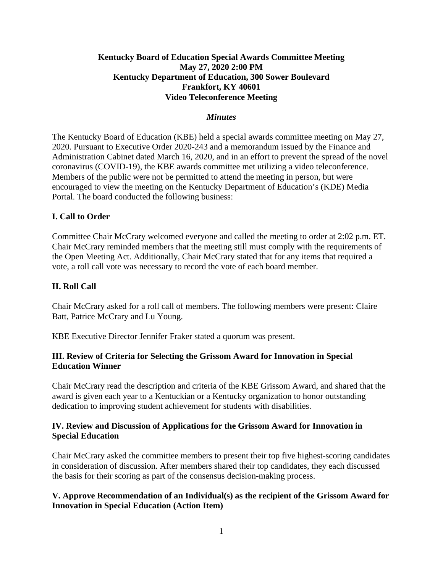## **Kentucky Board of Education Special Awards Committee Meeting May 27, 2020 2:00 PM Kentucky Department of Education, 300 Sower Boulevard Frankfort, KY 40601 Video Teleconference Meeting**

### *Minutes*

The Kentucky Board of Education (KBE) held a special awards committee meeting on May 27, 2020. Pursuant to Executive Order 2020-243 and a memorandum issued by the Finance and Administration Cabinet dated March 16, 2020, and in an effort to prevent the spread of the novel coronavirus (COVID-19), the KBE awards committee met utilizing a video teleconference. Members of the public were not be permitted to attend the meeting in person, but were encouraged to view the meeting on the Kentucky Department of Education's (KDE) Media Portal. The board conducted the following business:

### **I. Call to Order**

Committee Chair McCrary welcomed everyone and called the meeting to order at 2:02 p.m. ET. Chair McCrary reminded members that the meeting still must comply with the requirements of the Open Meeting Act. Additionally, Chair McCrary stated that for any items that required a vote, a roll call vote was necessary to record the vote of each board member.

#### **II. Roll Call**

Chair McCrary asked for a roll call of members. The following members were present: Claire Batt, Patrice McCrary and Lu Young.

KBE Executive Director Jennifer Fraker stated a quorum was present.

## **III. Review of Criteria for Selecting the Grissom Award for Innovation in Special Education Winner**

Chair McCrary read the description and criteria of the KBE Grissom Award, and shared that the award is given each year to a Kentuckian or a Kentucky organization to honor outstanding dedication to improving student achievement for students with disabilities.

## **IV. Review and Discussion of Applications for the Grissom Award for Innovation in Special Education**

Chair McCrary asked the committee members to present their top five highest-scoring candidates in consideration of discussion. After members shared their top candidates, they each discussed the basis for their scoring as part of the consensus decision-making process.

## **V. Approve Recommendation of an Individual(s) as the recipient of the Grissom Award for Innovation in Special Education (Action Item)**